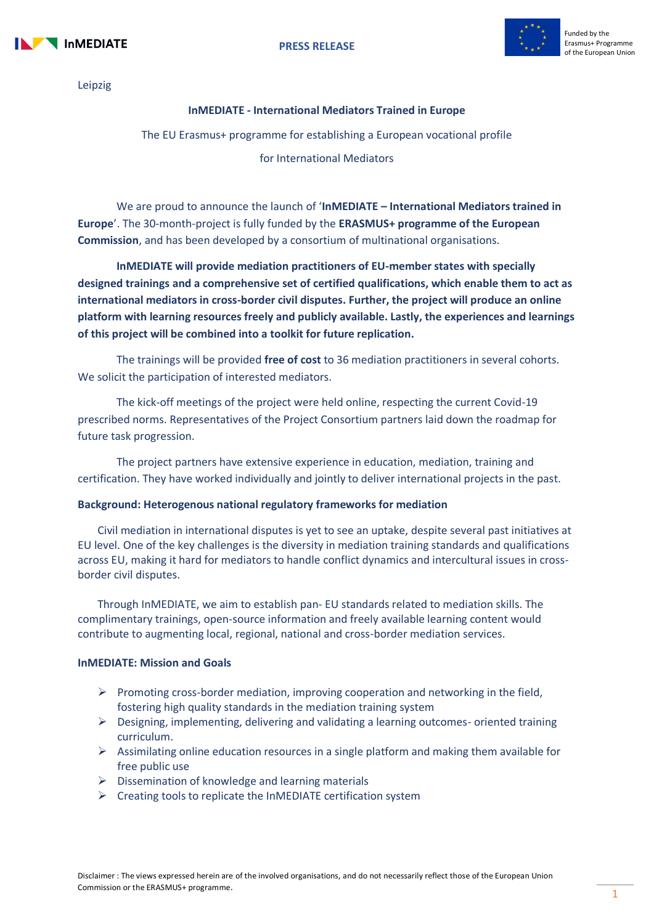



Funded by the Erasmus+ Programme of the European Union

Leipzig

# **InMEDIATE - International Mediators Trained in Europe**

The EU Erasmus+ programme for establishing a European vocational profile

for International Mediators

We are proud to announce the launch of '**InMEDIATE – International Mediators trained in Europe**'. The 30-month-project is fully funded by the **ERASMUS+ programme of the European Commission**, and has been developed by a consortium of multinational organisations.

**InMEDIATE will provide mediation practitioners of EU-member states with specially designed trainings and a comprehensive set of certified qualifications, which enable them to act as international mediators in cross-border civil disputes. Further, the project will produce an online platform with learning resources freely and publicly available. Lastly, the experiences and learnings of this project will be combined into a toolkit for future replication.**

The trainings will be provided **free of cost** to 36 mediation practitioners in several cohorts. We solicit the participation of interested mediators.

The kick-off meetings of the project were held online, respecting the current Covid-19 prescribed norms. Representatives of the Project Consortium partners laid down the roadmap for future task progression.

The project partners have extensive experience in education, mediation, training and certification. They have worked individually and jointly to deliver international projects in the past.

# **Background: Heterogenous national regulatory frameworks for mediation**

Civil mediation in international disputes is yet to see an uptake, despite several past initiatives at EU level. One of the key challenges is the diversity in mediation training standards and qualifications across EU, making it hard for mediators to handle conflict dynamics and intercultural issues in crossborder civil disputes.

Through InMEDIATE, we aim to establish pan- EU standards related to mediation skills. The complimentary trainings, open-source information and freely available learning content would contribute to augmenting local, regional, national and cross-border mediation services.

#### **InMEDIATE: Mission and Goals**

- $\triangleright$  Promoting cross-border mediation, improving cooperation and networking in the field, fostering high quality standards in the mediation training system
- $\triangleright$  Designing, implementing, delivering and validating a learning outcomes- oriented training curriculum.
- $\triangleright$  Assimilating online education resources in a single platform and making them available for free public use
- $\triangleright$  Dissemination of knowledge and learning materials
- $\triangleright$  Creating tools to replicate the InMEDIATE certification system